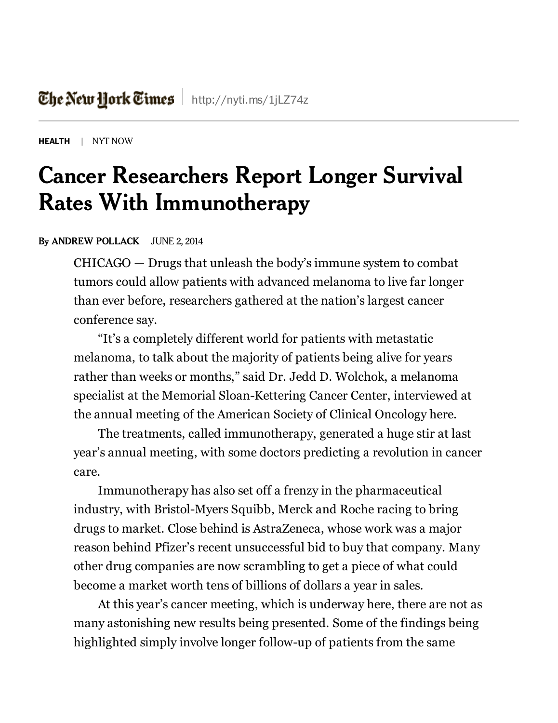[HEALTH](http://www.nytimes.com/pages/health/index.html) | NYT NOW

## Cancer Researchers Report Longer Survival Rates With Immunotherapy

## By ANDREW [POLLACK](http://topics.nytimes.com/top/reference/timestopics/people/p/andrew_pollack/index.html) JUNE 2, 2014

CHICAGO — Drugs that unleash the body's immune system to combat tumors could allow patients with advanced melanoma to live far longer than ever before, researchers gathered at the nation's largest cancer conference say.

"It's a completely different world for patients with metastatic melanoma, to talk about the majority of patients being alive for years rather than weeks or months," said Dr. Jedd D. Wolchok, a melanoma specialist at the Memorial Sloan-Kettering Cancer Center, interviewed at the annual meeting of the American Society of Clinical Oncology here.

The treatments, called immunotherapy, generated a huge stir at last year's annual meeting, with some doctors predicting a revolution in cancer care.

Immunotherapy has also set off a frenzy in the pharmaceutical industry, with Bristol-Myers Squibb, Merck and Roche racing to bring drugs to market. Close behind is AstraZeneca, whose work was a major reason behind Pfizer's recent unsuccessful bid to buy that company. Many other drug companies are now scrambling to get a piece of what could become a market worth tens of billions of dollars a year in sales.

At this year's cancer meeting, which is underway here, there are not as many astonishing new results being presented. Some of the findings being highlighted simply involve longer follow-up of patients from the same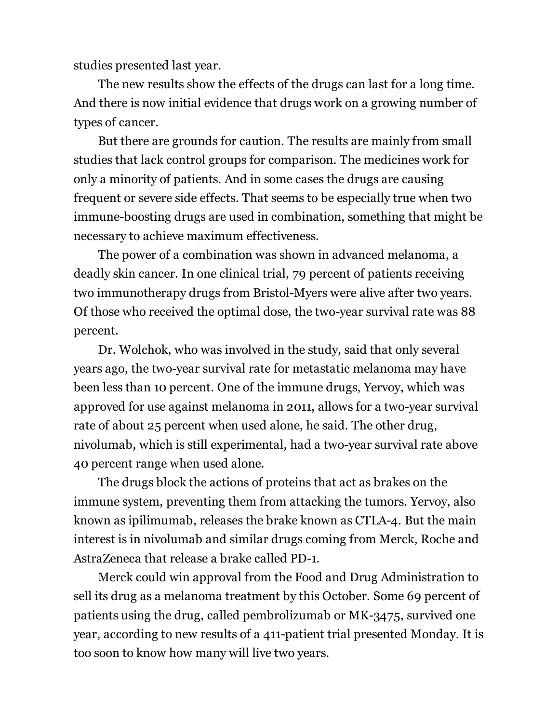studies presented last year.

The new results show the effects of the drugs can last for a long time. And there is now initial evidence that drugs work on a growing number of types of cancer.

But there are grounds for caution. The results are mainly from small studies that lack control groups for comparison. The medicines work for only a minority of patients. And in some cases the drugs are causing frequent or severe side effects. That seems to be especially true when two immune-boosting drugs are used in combination, something that might be necessary to achieve maximum effectiveness.

The power of a combination was shown in advanced melanoma, a deadly skin cancer. In one clinical trial, 79 percent of patients receiving two immunotherapy drugs from Bristol-Myers were alive after two years. Of those who received the optimal dose, the two-year survival rate was 88 percent.

Dr. Wolchok, who was involved in the study, said that only several years ago, the two-year survival rate for metastatic melanoma may have been less than 10 percent. One of the immune drugs, Yervoy, which was approved for use against melanoma in 2011, allows for a two-year survival rate of about 25 percent when used alone, he said. The other drug, nivolumab, which is still experimental, had a two-year survival rate above 40 percent range when used alone.

The drugs block the actions of proteins that act as brakes on the immune system, preventing them from attacking the tumors. Yervoy, also known as ipilimumab, releases the brake known as CTLA-4. But the main interest is in nivolumab and similar drugs coming from Merck, Roche and AstraZeneca that release a brake called PD-1.

Merck could win approval from the Food and Drug Administration to sell its drug as a melanoma treatment by this October. Some 69 percent of patients using the drug, called pembrolizumab or MK-3475, survived one year, according to new results of a 411-patient trial presented Monday. It is too soon to know how many will live two years.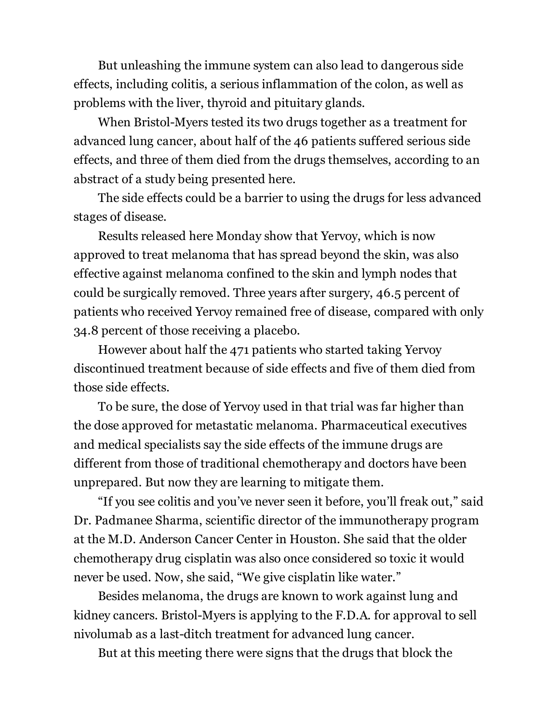But unleashing the immune system can also lead to dangerous side effects, including colitis, a serious inflammation of the colon, as well as problems with the liver, thyroid and pituitary glands.

When Bristol-Myers tested its two drugs together as a treatment for advanced lung cancer, about half of the 46 patients suffered serious side effects, and three of them died from the drugs themselves, according to an abstract of a study being presented here.

The side effects could be a barrier to using the drugs for less advanced stages of disease.

Results released here Monday show that Yervoy, which is now approved to treat melanoma that has spread beyond the skin, was also effective against melanoma confined to the skin and lymph nodes that could be surgically removed. Three years after surgery, 46.5 percent of patients who received Yervoy remained free of disease, compared with only 34.8 percent of those receiving a placebo.

However about half the 471 patients who started taking Yervoy discontinued treatment because of side effects and five of them died from those side effects.

To be sure, the dose of Yervoy used in that trial was far higher than the dose approved for metastatic melanoma. Pharmaceutical executives and medical specialists say the side effects of the immune drugs are different from those of traditional chemotherapy and doctors have been unprepared. But now they are learning to mitigate them.

"If you see colitis and you've never seen it before, you'll freak out," said Dr. Padmanee Sharma, scientific director of the immunotherapy program at the M.D. Anderson Cancer Center in Houston. She said that the older chemotherapy drug cisplatin was also once considered so toxic it would never be used. Now, she said, "We give cisplatin like water."

Besides melanoma, the drugs are known to work against lung and kidney cancers. Bristol-Myers is applying to the F.D.A. for approval to sell nivolumab as a last-ditch treatment for advanced lung cancer.

But at this meeting there were signs that the drugs that block the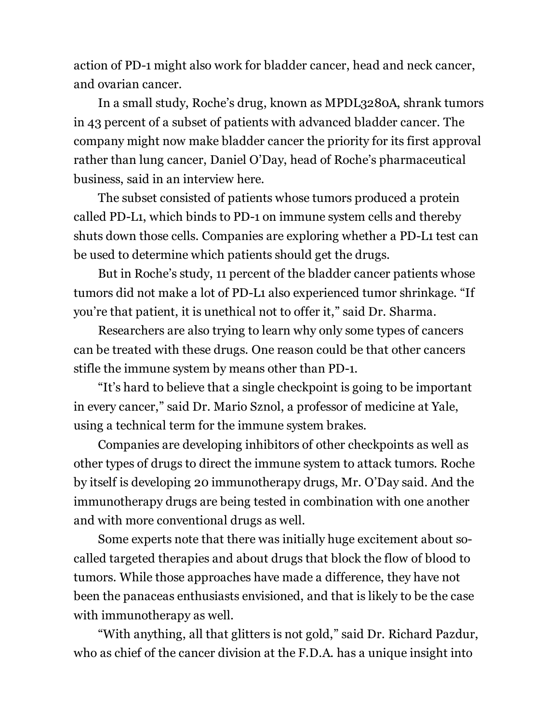action of PD-1 might also work for bladder cancer, head and neck cancer, and ovarian cancer.

In a small study, Roche's drug, known as MPDL3280A, shrank tumors in 43 percent of a subset of patients with advanced bladder cancer. The company might now make bladder cancer the priority for its first approval rather than lung cancer, Daniel O'Day, head of Roche's pharmaceutical business, said in an interview here.

The subset consisted of patients whose tumors produced a protein called PD-L1, which binds to PD-1 on immune system cells and thereby shuts down those cells. Companies are exploring whether a PD-L1 test can be used to determine which patients should get the drugs.

But in Roche's study, 11 percent of the bladder cancer patients whose tumors did not make a lot of PD-L1 also experienced tumor shrinkage. "If you're that patient, it is unethical not to offer it," said Dr. Sharma.

Researchers are also trying to learn why only some types of cancers can be treated with these drugs. One reason could be that other cancers stifle the immune system by means other than PD-1.

"It's hard to believe that a single checkpoint is going to be important in every cancer," said Dr. Mario Sznol, a professor of medicine at Yale, using a technical term for the immune system brakes.

Companies are developing inhibitors of other checkpoints as well as other types of drugs to direct the immune system to attack tumors. Roche by itself is developing 20 immunotherapy drugs, Mr. O'Day said. And the immunotherapy drugs are being tested in combination with one another and with more conventional drugs as well.

Some experts note that there was initially huge excitement about socalled targeted therapies and about drugs that block the flow of blood to tumors. While those approaches have made a difference, they have not been the panaceas enthusiasts envisioned, and that is likely to be the case with immunotherapy as well.

"With anything, all that glitters is not gold," said Dr. Richard Pazdur, who as chief of the cancer division at the F.D.A. has a unique insight into